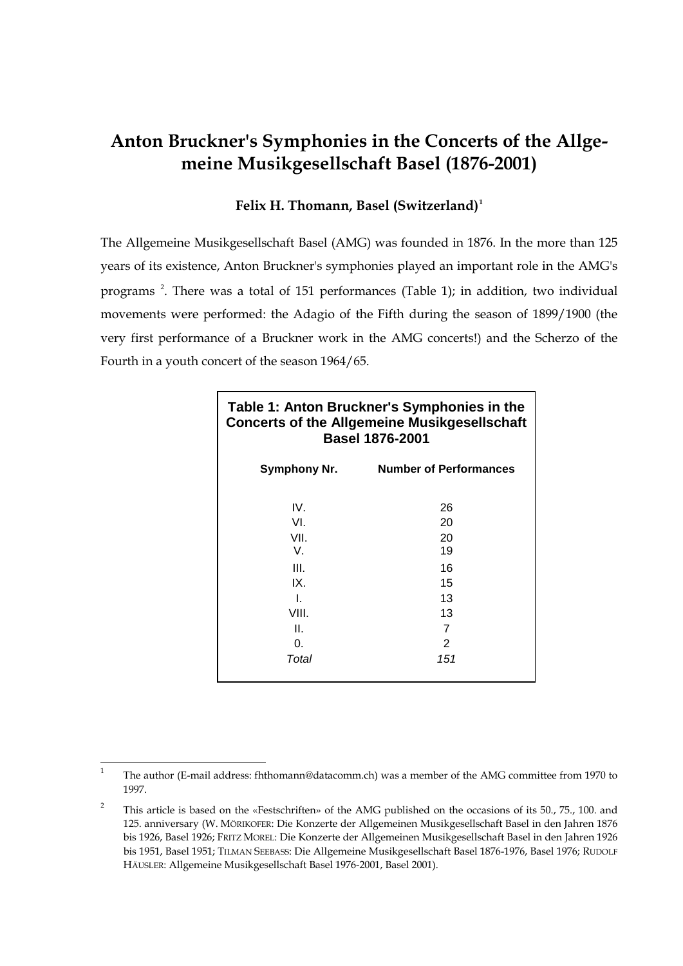## **Anton Bruckner's Symphonies in the Concerts of the Allgemeine Musikgesellschaft Basel (1876-2001)**

## **Felix H. Thomann, Basel (Switzerland)[1](#page-0-0)**

The Allgemeine Musikgesellschaft Basel (AMG) was founded in 1876. In the more than 125 years of its existence, Anton Bruckner's symphonies played an important role in the AMG's programs<sup>[2](#page-0-1)</sup>. There was a total of 151 performances (Table 1); in addition, two individual movements were performed: the Adagio of the Fifth during the season of 1899/1900 (the very first performance of a Bruckner work in the AMG concerts!) and the Scherzo of the Fourth in a youth concert of the season 1964/65.

| Table 1: Anton Bruckner's Symphonies in the<br><b>Concerts of the Allgemeine Musikgesellschaft</b><br><b>Basel 1876-2001</b> |                               |  |  |  |  |
|------------------------------------------------------------------------------------------------------------------------------|-------------------------------|--|--|--|--|
| Symphony Nr.                                                                                                                 | <b>Number of Performances</b> |  |  |  |  |
| IV.                                                                                                                          | 26                            |  |  |  |  |
| VI.                                                                                                                          | 20                            |  |  |  |  |
| VII.                                                                                                                         | 20                            |  |  |  |  |
| V.                                                                                                                           | 19                            |  |  |  |  |
| III.                                                                                                                         | 16                            |  |  |  |  |
| IX.                                                                                                                          | 15                            |  |  |  |  |
| L                                                                                                                            | 13                            |  |  |  |  |
| VIII.                                                                                                                        | 13                            |  |  |  |  |
| Ш.                                                                                                                           | 7                             |  |  |  |  |
| 0.                                                                                                                           | 2                             |  |  |  |  |
| Total                                                                                                                        | 151                           |  |  |  |  |

<span id="page-0-0"></span><sup>&</sup>lt;sup>1</sup> The author (E-mail address: fhthomann@datacomm.ch) was a member of the AMG committee from 1970 to 1997.

<span id="page-0-1"></span><sup>&</sup>lt;sup>2</sup> This article is based on the «Festschriften» of the AMG published on the occasions of its 50., 75., 100. and 125. anniversary (W. MÖRIKOFER: Die Konzerte der Allgemeinen Musikgesellschaft Basel in den Jahren 1876 bis 1926, Basel 1926; FRITZ MOREL: Die Konzerte der Allgemeinen Musikgesellschaft Basel in den Jahren 1926 bis 1951, Basel 1951; TILMAN SEEBASS: Die Allgemeine Musikgesellschaft Basel 1876-1976, Basel 1976; RUDOLF HÄUSLER: Allgemeine Musikgesellschaft Basel 1976-2001, Basel 2001).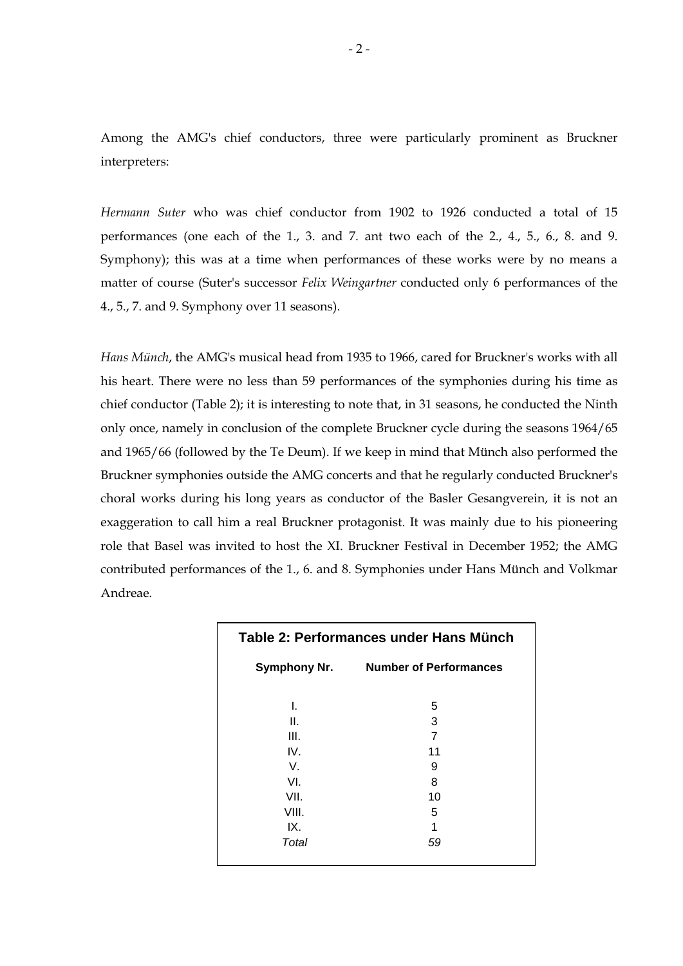Among the AMG's chief conductors, three were particularly prominent as Bruckner interpreters:

*Hermann Suter* who was chief conductor from 1902 to 1926 conducted a total of 15 performances (one each of the 1., 3. and 7. ant two each of the 2., 4., 5., 6., 8. and 9. Symphony); this was at a time when performances of these works were by no means a matter of course (Suter's successor *Felix Weingartner* conducted only 6 performances of the 4., 5., 7. and 9. Symphony over 11 seasons).

*Hans Münch*, the AMG's musical head from 1935 to 1966, cared for Bruckner's works with all his heart. There were no less than 59 performances of the symphonies during his time as chief conductor (Table 2); it is interesting to note that, in 31 seasons, he conducted the Ninth only once, namely in conclusion of the complete Bruckner cycle during the seasons 1964/65 and 1965/66 (followed by the Te Deum). If we keep in mind that Münch also performed the Bruckner symphonies outside the AMG concerts and that he regularly conducted Bruckner's choral works during his long years as conductor of the Basler Gesangverein, it is not an exaggeration to call him a real Bruckner protagonist. It was mainly due to his pioneering role that Basel was invited to host the XI. Bruckner Festival in December 1952; the AMG contributed performances of the 1., 6. and 8. Symphonies under Hans Münch and Volkmar Andreae.

| Table 2: Performances under Hans Münch |                               |  |  |  |  |
|----------------------------------------|-------------------------------|--|--|--|--|
| <b>Symphony Nr.</b>                    | <b>Number of Performances</b> |  |  |  |  |
| L.                                     | 5                             |  |  |  |  |
| ΙΙ.                                    | 3                             |  |  |  |  |
| III.                                   | $\overline{7}$                |  |  |  |  |
| IV.                                    | 11                            |  |  |  |  |
| V.                                     | 9                             |  |  |  |  |
| VI.                                    | 8                             |  |  |  |  |
| VII.                                   | 10                            |  |  |  |  |
| VIII.                                  | 5                             |  |  |  |  |
| IX.                                    | 1                             |  |  |  |  |
| Total                                  | 59                            |  |  |  |  |
|                                        |                               |  |  |  |  |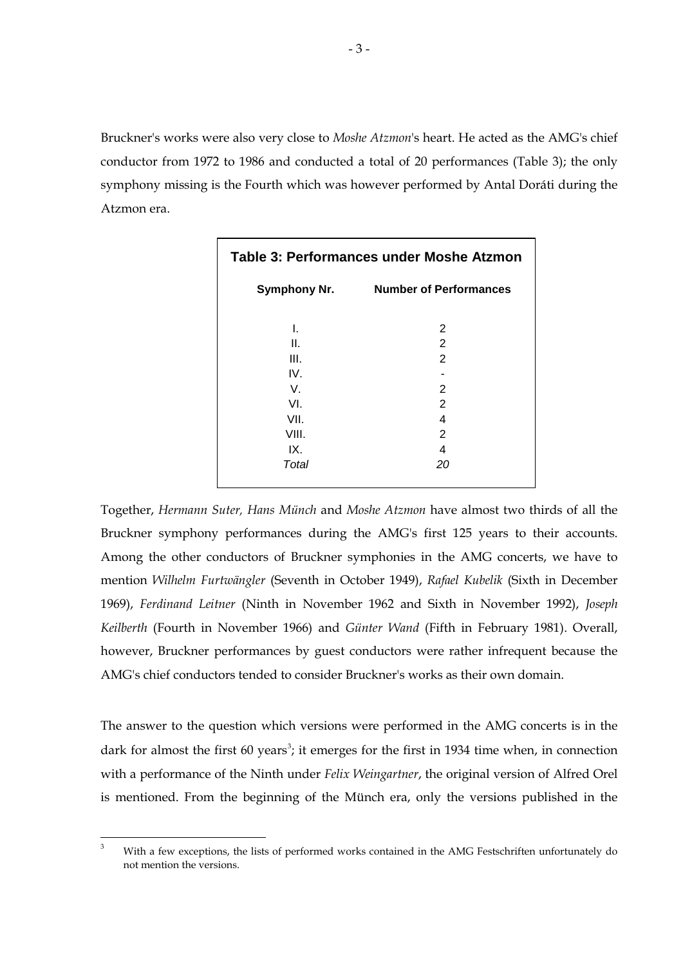Bruckner's works were also very close to *Moshe Atzmon*'s heart. He acted as the AMG's chief conductor from 1972 to 1986 and conducted a total of 20 performances (Table 3); the only symphony missing is the Fourth which was however performed by Antal Doráti during the Atzmon era.

| <b>Table 3: Performances under Moshe Atzmon</b> |                               |  |  |  |  |
|-------------------------------------------------|-------------------------------|--|--|--|--|
| <b>Symphony Nr.</b>                             | <b>Number of Performances</b> |  |  |  |  |
| I.                                              | 2                             |  |  |  |  |
| Ⅱ.<br>III.                                      | 2<br>2                        |  |  |  |  |
| IV.<br>V.                                       | 2                             |  |  |  |  |
| VI.<br>VII.<br>VIII.                            | 2<br>4<br>2                   |  |  |  |  |
| IX.<br>Total                                    | 4<br>20                       |  |  |  |  |
|                                                 |                               |  |  |  |  |

Together, *Hermann Suter, Hans Münch* and *Moshe Atzmon* have almost two thirds of all the Bruckner symphony performances during the AMG's first 125 years to their accounts. Among the other conductors of Bruckner symphonies in the AMG concerts, we have to mention *Wilhelm Furtwängler* (Seventh in October 1949), *Rafael Kubelik* (Sixth in December 1969), *Ferdinand Leitner* (Ninth in November 1962 and Sixth in November 1992), *Joseph Keilberth* (Fourth in November 1966) and *Günter Wand* (Fifth in February 1981). Overall, however, Bruckner performances by guest conductors were rather infrequent because the AMG's chief conductors tended to consider Bruckner's works as their own domain.

The answer to the question which versions were performed in the AMG concerts is in the dark for almost the first 60 years<sup>[3](#page-2-0)</sup>; it emerges for the first in 1934 time when, in connection with a performance of the Ninth under *Felix Weingartner*, the original version of Alfred Orel is mentioned. From the beginning of the Münch era, only the versions published in the

<span id="page-2-0"></span><sup>&</sup>lt;sup>3</sup> With a few exceptions, the lists of performed works contained in the AMG Festschriften unfortunately do not mention the versions.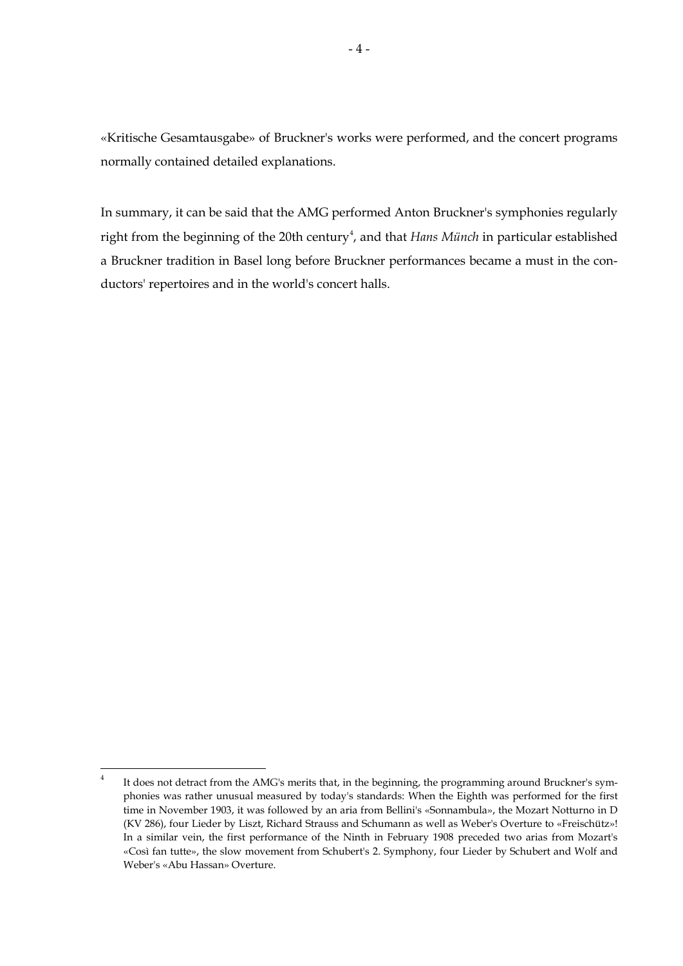«Kritische Gesamtausgabe» of Bruckner's works were performed, and the concert programs normally contained detailed explanations.

In summary, it can be said that the AMG performed Anton Bruckner's symphonies regularly right from the beginning of the 20th century<sup>[4](#page-3-0)</sup>, and that *Hans Münch* in particular established a Bruckner tradition in Basel long before Bruckner performances became a must in the conductors' repertoires and in the world's concert halls.

<span id="page-3-0"></span><sup>&</sup>lt;sup>4</sup> It does not detract from the AMG's merits that, in the beginning, the programming around Bruckner's symphonies was rather unusual measured by today's standards: When the Eighth was performed for the first time in November 1903, it was followed by an aria from Bellini's «Sonnambula», the Mozart Notturno in D (KV 286), four Lieder by Liszt, Richard Strauss and Schumann as well as Weber's Overture to «Freischütz»! In a similar vein, the first performance of the Ninth in February 1908 preceded two arias from Mozart's «Così fan tutte», the slow movement from Schubert's 2. Symphony, four Lieder by Schubert and Wolf and Weber's «Abu Hassan» Overture.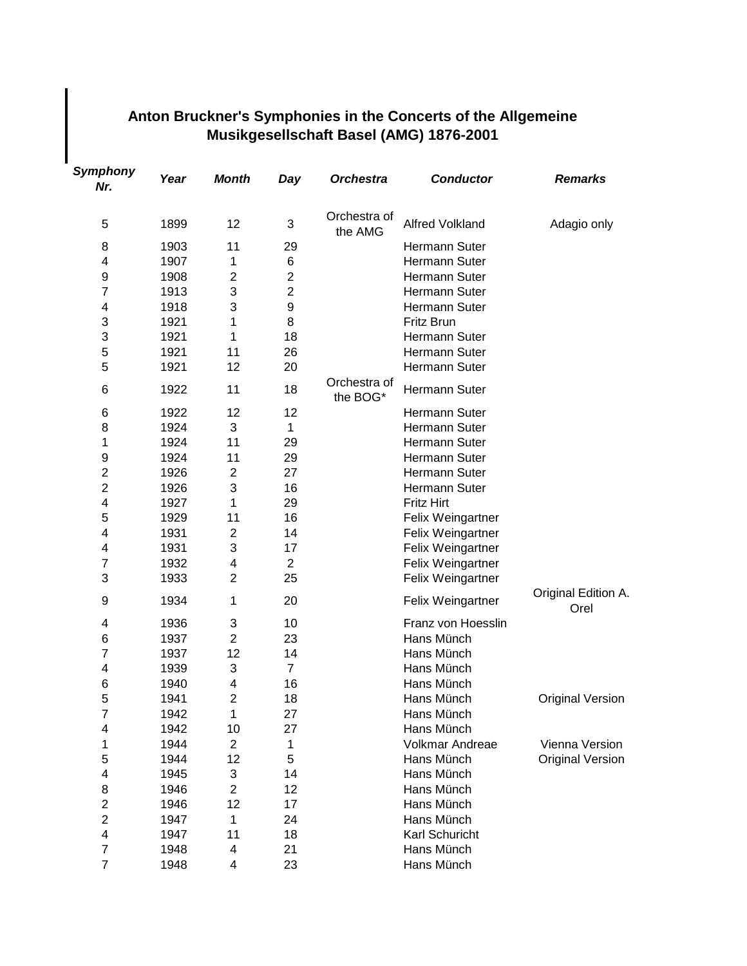## **Anton Bruckner's Symphonies in the Concerts of the Allgemeine Musikgesellschaft Basel (AMG) 1876-2001**

| Symphony<br>Nr.         | Year | <b>Month</b>   | Day              | <b>Orchestra</b>         | <b>Conductor</b>       | <b>Remarks</b>              |
|-------------------------|------|----------------|------------------|--------------------------|------------------------|-----------------------------|
| 5                       | 1899 | 12             | 3                | Orchestra of<br>the AMG  | <b>Alfred Volkland</b> | Adagio only                 |
| 8                       | 1903 | 11             | 29               |                          | Hermann Suter          |                             |
| 4                       | 1907 | 1              | 6                |                          | Hermann Suter          |                             |
| 9                       | 1908 | $\overline{2}$ | $\overline{2}$   |                          | Hermann Suter          |                             |
| $\overline{7}$          | 1913 | 3              | $\overline{2}$   |                          | Hermann Suter          |                             |
| 4                       | 1918 | 3              | $\boldsymbol{9}$ |                          | Hermann Suter          |                             |
| 3                       | 1921 | 1              | 8                |                          | Fritz Brun             |                             |
| 3                       | 1921 | 1              | 18               |                          | Hermann Suter          |                             |
| 5                       | 1921 | 11             | 26               |                          | Hermann Suter          |                             |
| 5                       | 1921 | 12             | 20               |                          | Hermann Suter          |                             |
| 6                       | 1922 | 11             | 18               | Orchestra of<br>the BOG* | Hermann Suter          |                             |
| 6                       | 1922 | 12             | 12               |                          | Hermann Suter          |                             |
| 8                       | 1924 | 3              | 1                |                          | Hermann Suter          |                             |
| 1                       | 1924 | 11             | 29               |                          | Hermann Suter          |                             |
| 9                       | 1924 | 11             | 29               |                          | Hermann Suter          |                             |
| $\overline{\mathbf{c}}$ | 1926 | $\mathbf{2}$   | 27               |                          | Hermann Suter          |                             |
| $\overline{2}$          | 1926 | 3              | 16               |                          | Hermann Suter          |                             |
| 4                       | 1927 | 1              | 29               |                          | <b>Fritz Hirt</b>      |                             |
| 5                       | 1929 | 11             | 16               |                          | Felix Weingartner      |                             |
| 4                       | 1931 | $\overline{2}$ | 14               |                          | Felix Weingartner      |                             |
| 4                       | 1931 | 3              | 17               |                          | Felix Weingartner      |                             |
| $\overline{7}$          | 1932 | 4              | $\overline{2}$   |                          | Felix Weingartner      |                             |
| 3                       | 1933 | $\overline{2}$ | 25               |                          | Felix Weingartner      |                             |
| 9                       | 1934 | 1              | 20               |                          | Felix Weingartner      | Original Edition A.<br>Orel |
| 4                       | 1936 | 3              | 10               |                          | Franz von Hoesslin     |                             |
| 6                       | 1937 | $\overline{2}$ | 23               |                          | Hans Münch             |                             |
| $\overline{7}$          | 1937 | 12             | 14               |                          | Hans Münch             |                             |
| 4                       | 1939 | 3              | $\overline{7}$   |                          | Hans Münch             |                             |
| 6                       | 1940 | 4              | 16               |                          | Hans Münch             |                             |
| 5                       | 1941 | $\overline{c}$ | 18               |                          | Hans Münch             | <b>Original Version</b>     |
| $\overline{7}$          | 1942 | 1              | 27               |                          | Hans Münch             |                             |
| 4                       | 1942 | 10             | 27               |                          | Hans Münch             |                             |
| 1                       | 1944 | $\overline{2}$ | 1                |                          | Volkmar Andreae        | Vienna Version              |
| 5                       | 1944 | 12             | 5                |                          | Hans Münch             | <b>Original Version</b>     |
| 4                       | 1945 | 3              | 14               |                          | Hans Münch             |                             |
| 8                       | 1946 | $\overline{c}$ | 12               |                          | Hans Münch             |                             |
| $\overline{c}$          | 1946 | 12             | 17               |                          | Hans Münch             |                             |
| $\overline{c}$          | 1947 | 1              | 24               |                          | Hans Münch             |                             |
| 4                       | 1947 | 11             | 18               |                          | Karl Schuricht         |                             |
| $\overline{\mathbf{7}}$ | 1948 | 4              | 21               |                          | Hans Münch             |                             |
| $\overline{\mathbf{7}}$ | 1948 | 4              | 23               |                          | Hans Münch             |                             |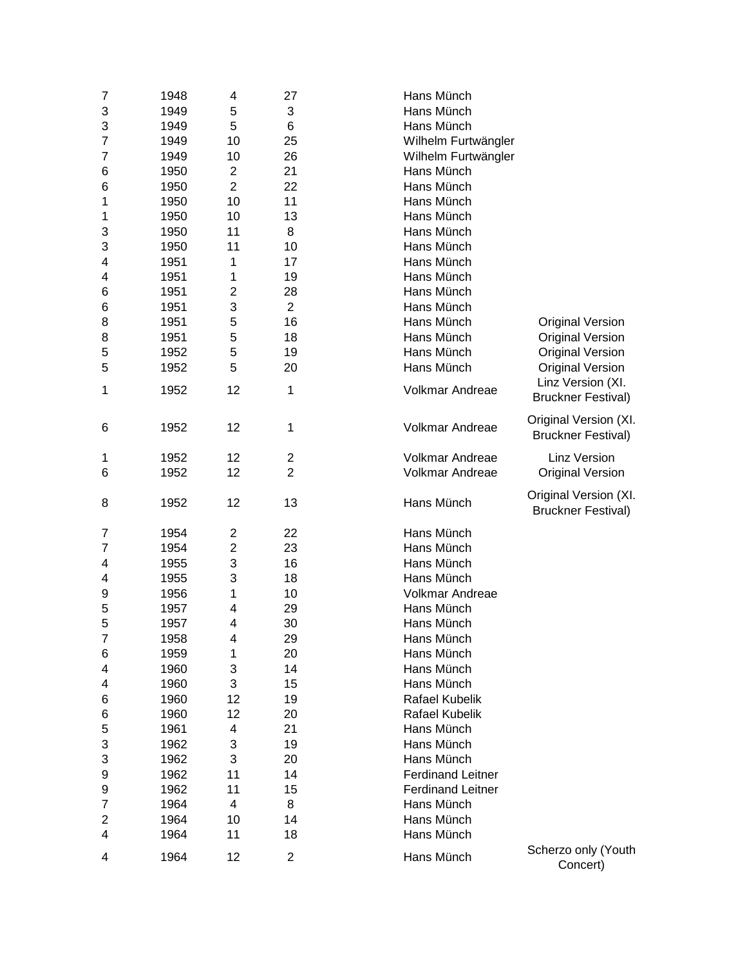| 7                       | 1948 | 4                       | 27             | Hans Münch               |                                                |
|-------------------------|------|-------------------------|----------------|--------------------------|------------------------------------------------|
| 3                       | 1949 | 5                       | 3              | Hans Münch               |                                                |
| 3                       | 1949 | 5                       | 6              | Hans Münch               |                                                |
| 7                       | 1949 | 10                      | 25             | Wilhelm Furtwängler      |                                                |
| 7                       | 1949 | 10                      | 26             | Wilhelm Furtwängler      |                                                |
| 6                       | 1950 | $\overline{c}$          | 21             | Hans Münch               |                                                |
| 6                       | 1950 | $\overline{2}$          | 22             | Hans Münch               |                                                |
| 1                       | 1950 | 10                      | 11             | Hans Münch               |                                                |
| 1                       | 1950 | 10                      | 13             | Hans Münch               |                                                |
| 3                       | 1950 | 11                      | 8              | Hans Münch               |                                                |
| 3                       | 1950 | 11                      | 10             | Hans Münch               |                                                |
| 4                       | 1951 | 1                       | 17             | Hans Münch               |                                                |
| 4                       | 1951 | 1                       | 19             | Hans Münch               |                                                |
| 6                       | 1951 | $\overline{\mathbf{c}}$ | 28             | Hans Münch               |                                                |
| 6                       | 1951 | 3                       | $\overline{2}$ | Hans Münch               |                                                |
| 8                       | 1951 | 5                       | 16             | Hans Münch               | <b>Original Version</b>                        |
| 8                       | 1951 | 5                       | 18             | Hans Münch               | <b>Original Version</b>                        |
|                         | 1952 | 5                       | 19             | Hans Münch               | <b>Original Version</b>                        |
| 5<br>5                  |      | 5                       | 20             |                          |                                                |
|                         | 1952 |                         |                | Hans Münch               | <b>Original Version</b>                        |
| 1                       | 1952 | 12                      | 1              | Volkmar Andreae          | Linz Version (XI.<br><b>Bruckner Festival)</b> |
|                         |      |                         |                |                          |                                                |
| 6                       | 1952 | 12                      | 1              | Volkmar Andreae          | Original Version (XI.                          |
|                         |      |                         |                |                          | <b>Bruckner Festival)</b>                      |
| 1                       | 1952 | 12                      | 2              | Volkmar Andreae          | <b>Linz Version</b>                            |
| 6                       | 1952 | 12                      | $\overline{2}$ | Volkmar Andreae          | <b>Original Version</b>                        |
|                         |      |                         |                |                          |                                                |
|                         |      |                         |                |                          |                                                |
| 8                       | 1952 | 12                      | 13             | Hans Münch               | Original Version (XI.                          |
|                         |      |                         |                |                          | <b>Bruckner Festival)</b>                      |
| 7                       | 1954 | $\overline{2}$          | 22             | Hans Münch               |                                                |
| 7                       | 1954 | $\mathbf{2}$            | 23             | Hans Münch               |                                                |
| 4                       | 1955 | 3                       | 16             | Hans Münch               |                                                |
| 4                       | 1955 | 3                       | 18             | Hans Münch               |                                                |
| 9                       | 1956 | 1                       | 10             | Volkmar Andreae          |                                                |
| 5                       | 1957 | 4                       | 29             | Hans Münch               |                                                |
| 5                       | 1957 | 4                       | 30             | Hans Münch               |                                                |
| 7                       | 1958 | 4                       | 29             | Hans Münch               |                                                |
|                         |      | 1                       |                | Hans Münch               |                                                |
| 6                       | 1959 |                         | 20             |                          |                                                |
| 4                       | 1960 | 3                       | 14             | Hans Münch               |                                                |
| 4                       | 1960 | 3                       | 15             | Hans Münch               |                                                |
| 6                       | 1960 | 12                      | 19             | Rafael Kubelik           |                                                |
| 6                       | 1960 | 12                      | 20             | Rafael Kubelik           |                                                |
| 5                       | 1961 | 4                       | 21             | Hans Münch               |                                                |
| 3                       | 1962 | 3                       | 19             | Hans Münch               |                                                |
| 3                       | 1962 | 3                       | 20             | Hans Münch               |                                                |
| 9                       | 1962 | 11                      | 14             | <b>Ferdinand Leitner</b> |                                                |
| 9                       | 1962 | 11                      | 15             | <b>Ferdinand Leitner</b> |                                                |
| 7                       | 1964 | 4                       | 8              | Hans Münch               |                                                |
| $\overline{\mathbf{c}}$ | 1964 | 10                      | 14             | Hans Münch               |                                                |
| 4                       | 1964 | 11                      | 18             | Hans Münch               |                                                |
| 4                       | 1964 | 12                      | $\overline{2}$ | Hans Münch               | Scherzo only (Youth<br>Concert)                |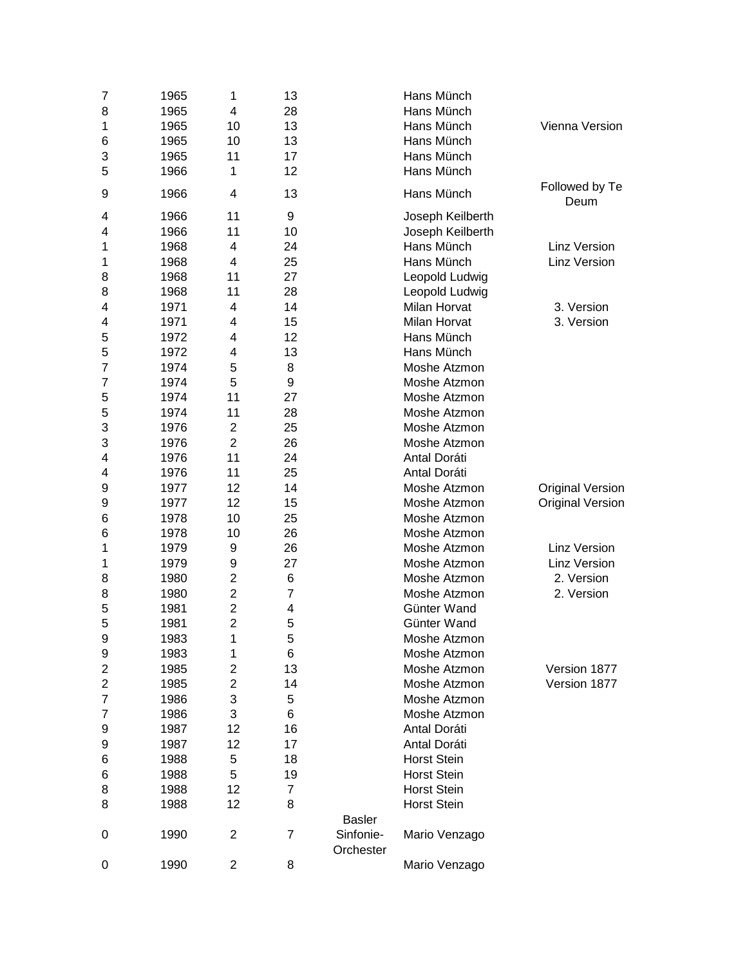| 7                       | 1965 | 1              | 13             |                        | Hans Münch          |                         |
|-------------------------|------|----------------|----------------|------------------------|---------------------|-------------------------|
| 8                       | 1965 | 4              | 28             |                        | Hans Münch          |                         |
| 1                       | 1965 | 10             | 13             |                        | Hans Münch          | Vienna Version          |
| 6                       | 1965 | 10             | 13             |                        | Hans Münch          |                         |
| 3                       | 1965 | 11             | 17             |                        | Hans Münch          |                         |
| 5                       | 1966 | 1              | 12             |                        | Hans Münch          |                         |
| 9                       | 1966 | 4              | 13             |                        | Hans Münch          | Followed by Te<br>Deum  |
| 4                       | 1966 | 11             | 9              |                        | Joseph Keilberth    |                         |
| 4                       | 1966 | 11             | 10             |                        | Joseph Keilberth    |                         |
| 1                       | 1968 | 4              | 24             |                        | Hans Münch          | <b>Linz Version</b>     |
| 1                       | 1968 | 4              | 25             |                        | Hans Münch          | Linz Version            |
| 8                       | 1968 | 11             | 27             |                        | Leopold Ludwig      |                         |
| 8                       | 1968 | 11             | 28             |                        | Leopold Ludwig      |                         |
| 4                       | 1971 | 4              | 14             |                        | <b>Milan Horvat</b> | 3. Version              |
| 4                       | 1971 | 4              | 15             |                        | <b>Milan Horvat</b> | 3. Version              |
| 5                       | 1972 | 4              | 12             |                        | Hans Münch          |                         |
| 5                       | 1972 | 4              | 13             |                        | Hans Münch          |                         |
| 7                       | 1974 | 5              | 8              |                        | Moshe Atzmon        |                         |
| 7                       | 1974 | 5              | 9              |                        | Moshe Atzmon        |                         |
| 5                       | 1974 | 11             | 27             |                        | Moshe Atzmon        |                         |
| 5                       | 1974 | 11             | 28             |                        | Moshe Atzmon        |                         |
| 3                       | 1976 | $\overline{2}$ | 25             |                        | Moshe Atzmon        |                         |
| 3                       | 1976 | $\overline{2}$ | 26             |                        | Moshe Atzmon        |                         |
| 4                       | 1976 | 11             | 24             |                        | Antal Doráti        |                         |
| 4                       | 1976 | 11             | 25             |                        | Antal Doráti        |                         |
|                         |      |                |                |                        |                     |                         |
| 9                       | 1977 | 12             | 14             |                        | Moshe Atzmon        | <b>Original Version</b> |
| 9                       | 1977 | 12             | 15             |                        | Moshe Atzmon        | <b>Original Version</b> |
| 6                       | 1978 | 10             | 25             |                        | Moshe Atzmon        |                         |
| 6                       | 1978 | 10             | 26             |                        | Moshe Atzmon        |                         |
| 1                       | 1979 | 9              | 26             |                        | Moshe Atzmon        | <b>Linz Version</b>     |
| 1                       | 1979 | 9              | 27             |                        | Moshe Atzmon        | <b>Linz Version</b>     |
| 8                       | 1980 | $\overline{2}$ | 6              |                        | Moshe Atzmon        | 2. Version              |
| 8                       | 1980 | $\overline{2}$ | $\overline{7}$ |                        | Moshe Atzmon        | 2. Version              |
| 5                       | 1981 | $\overline{2}$ | 4              |                        | Günter Wand         |                         |
| 5                       | 1981 | $\overline{2}$ | 5              |                        | Günter Wand         |                         |
| 9                       | 1983 | 1              | 5              |                        | Moshe Atzmon        |                         |
| 9                       | 1983 | 1              | 6              |                        | Moshe Atzmon        |                         |
| $\overline{2}$          | 1985 | $\mathbf{2}$   | 13             |                        | Moshe Atzmon        | Version 1877            |
| $\overline{\mathbf{c}}$ | 1985 | $\overline{2}$ | 14             |                        | Moshe Atzmon        | Version 1877            |
| 7                       | 1986 | 3              | 5              |                        | Moshe Atzmon        |                         |
| 7                       | 1986 | 3              | 6              |                        | Moshe Atzmon        |                         |
| 9                       | 1987 | 12             | 16             |                        | Antal Doráti        |                         |
| 9                       | 1987 | 12             | 17             |                        | Antal Doráti        |                         |
| 6                       | 1988 | 5              | 18             |                        | <b>Horst Stein</b>  |                         |
| 6                       | 1988 | 5              | 19             |                        | <b>Horst Stein</b>  |                         |
| 8                       | 1988 | 12             | $\overline{7}$ |                        | <b>Horst Stein</b>  |                         |
| 8                       | 1988 | 12             | 8              |                        | <b>Horst Stein</b>  |                         |
|                         |      |                |                | <b>Basler</b>          |                     |                         |
| 0                       | 1990 | $\overline{2}$ | $\overline{7}$ | Sinfonie-<br>Orchester | Mario Venzago       |                         |